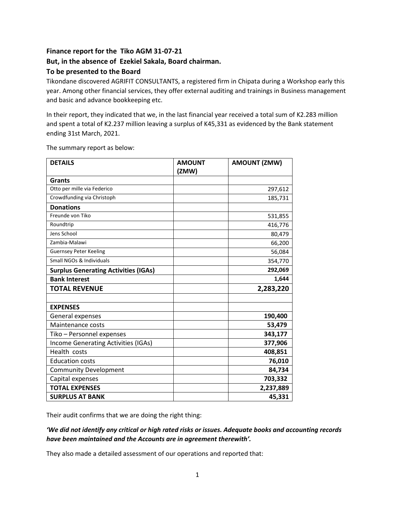## **Finance report for the Tiko AGM 31-07-21 But, in the absence of Ezekiel Sakala, Board chairman. To be presented to the Board**

Tikondane discovered AGRIFIT CONSULTANTS, a registered firm in Chipata during a Workshop early this year. Among other financial services, they offer external auditing and trainings in Business management and basic and advance bookkeeping etc.

In their report, they indicated that we, in the last financial year received a total sum of K2.283 million and spent a total of K2.237 million leaving a surplus of K45,331 as evidenced by the Bank statement ending 31st March, 2021.

The summary report as below:

| <b>DETAILS</b>                              | <b>AMOUNT</b> | <b>AMOUNT (ZMW)</b> |
|---------------------------------------------|---------------|---------------------|
|                                             | (ZMW)         |                     |
| <b>Grants</b>                               |               |                     |
| Otto per mille via Federico                 |               | 297,612             |
| Crowdfunding via Christoph                  |               | 185,731             |
| <b>Donations</b>                            |               |                     |
| Freunde von Tiko                            |               | 531,855             |
| Roundtrip                                   |               | 416,776             |
| Jens School                                 |               | 80,479              |
| Zambia-Malawi                               |               | 66,200              |
| <b>Guernsey Peter Keeling</b>               |               | 56,084              |
| Small NGOs & Individuals                    |               | 354,770             |
| <b>Surplus Generating Activities (IGAs)</b> |               | 292,069             |
| <b>Bank Interest</b>                        |               | 1,644               |
| <b>TOTAL REVENUE</b>                        |               | 2,283,220           |
|                                             |               |                     |
| <b>EXPENSES</b>                             |               |                     |
| General expenses                            |               | 190,400             |
| Maintenance costs                           |               | 53,479              |
| Tiko - Personnel expenses                   |               | 343,177             |
| Income Generating Activities (IGAs)         |               | 377,906             |
| Health costs                                |               | 408,851             |
| <b>Education costs</b>                      |               | 76,010              |
| <b>Community Development</b>                |               | 84,734              |
| Capital expenses                            |               | 703,332             |
| <b>TOTAL EXPENSES</b>                       |               | 2,237,889           |
| <b>SURPLUS AT BANK</b>                      |               | 45,331              |

Their audit confirms that we are doing the right thing:

*'We did not identify any critical or high rated risks or issues. Adequate books and accounting records have been maintained and the Accounts are in agreement therewith'.* 

They also made a detailed assessment of our operations and reported that: